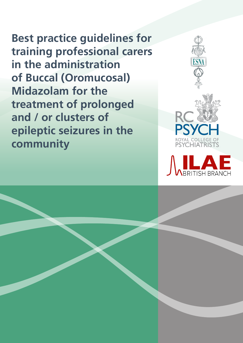**Best practice guidelines for training professional carers in the administration of Buccal (Oromucosal) Midazolam for the treatment of prolonged and / or clusters of epileptic seizures in the community**

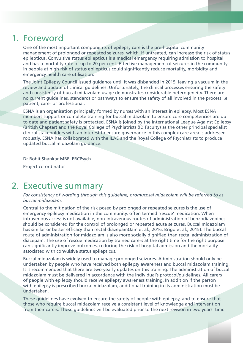## 1. Foreword

One of the most important components of epilepsy care is the pre-hospital community management of prolonged or repeated seizures, which, if untreated, can increase the risk of status epilepticus. Convulsive status epilepticus is a medical emergency requiring admission to hospital and has a mortality rate of up to 20 per cent. Effective management of seizures in the community in people at high risk of status epilepticus could significantly reduce mortality, morbidity and emergency health care utilisation.

The Joint Epilepsy Council issued guidance until it was disbanded in 2015, leaving a vacuum in the review and update of clinical guidelines. Unfortunately, the clinical processes ensuring the safety and consistency of buccal midazolam usage demonstrates considerable heterogeneity. There are no current guidelines, standards or pathways to ensure the safety of all involved in the process i.e. patient, carer or professional.

ESNA is an organisation principally formed by nurses with an interest in epilepsy. Most ESNA members support or complete training for buccal midazolam to ensure core competencies are up to date and patient safety is protected. ESNA is joined by the International League Against Epilepsy (British Chapter) and the Royal College of Psychiatrists (ID Faculty) as the other principal specialist clinical stakeholders with an interest to ensure governance in this complex care area is addressed robustly. ESNA has collaborated with the ILAE and the Royal College of Psychiatrists to produce updated buccal midazolam guidance.

Dr Rohit Shankar MBE, FRCPsych

Project co-ordinator

## 2. Executive summary

#### *For consistency of wording through this guideline, oromucosal midazolam will be referred to as buccal midazolam.*

Central to the mitigation of the risk posed by prolonged or repeated seizures is the use of emergency epilepsy medication in the community, often termed 'rescue' medication. When intravenous access is not available, non-intravenous routes of administration of benzodiazepines should be considered for the control of prolonged or repeated acute seizures. Buccal midazolam has similar or better efficacy than rectal diazepam(Jain et al., 2016; Brigo et al., 2015). The buccal route of administration for midazolam is also more socially dignified than rectal administration of diazepam. The use of rescue medication by trained carers at the right time for the right purpose can significantly improve outcomes, reducing the risk of hospital admission and the mortality associated with convulsive status epilepticus.

Buccal midazolam is widely used to manage prolonged seizures. Administration should only be undertaken by people who have received both epilepsy awareness and buccal midazolam training. It is recommended that there are two-yearly updates on this training. The administration of buccal midazolam must be delivered in accordance with the individual's protocol/guidelines. All carers of people with epilepsy should receive epilepsy awareness training. In addition if the person with epilepsy is prescribed buccal midazolam, additional training in its administration must be undertaken.

These guidelines have evolved to ensure the safety of people with epilepsy, and to ensure that those who require buccal midazolam receive a consistent level of knowledge and intervention from their carers. These guidelines will be evaluated prior to the next revision in two years' time.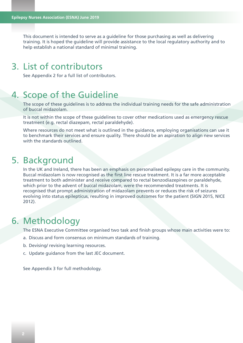This document is intended to serve as a guideline for those purchasing as well as delivering training. It is hoped the guideline will provide assistance to the local regulatory authority and to help establish a national standard of minimal training.

## 3. List of contributors

See Appendix 2 for a full list of contributors.

## 4. Scope of the Guideline

The scope of these guidelines is to address the individual training needs for the safe administration of buccal midazolam.

It is not within the scope of these guidelines to cover other medications used as emergency rescue treatment (e.g. rectal diazepam, rectal paraldehyde).

Where resources do not meet what is outlined in the guidance, employing organisations can use it to benchmark their services and ensure quality. There should be an aspiration to align new services with the standards outlined.

## 5. Background

In the UK and Ireland, there has been an emphasis on personalised epilepsy care in the community. Buccal midazolam is now recognised as the first line rescue treatment. It is a far more acceptable treatment to both administer and receive compared to rectal benzodiazepines or paraldehyde, which prior to the advent of buccal midazolam, were the recommended treatments. It is recognised that prompt administration of midazolam prevents or reduces the risk of seizures evolving into status epilepticus, resulting in improved outcomes for the patient (SIGN 2015, NICE 2012).

## 6. Methodology

The ESNA Executive Committee organised two task and finish groups whose main activities were to:

- a. Discuss and form consensus on minimum standards of training.
- b. Devising/ revising learning resources.
- c. Update guidance from the last JEC document.

See Appendix 3 for full methodology.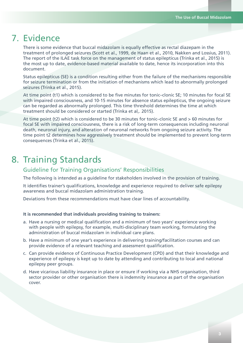## 7. Evidence

There is some evidence that buccal midazolam is equally effective as rectal diazepam in the treatment of prolonged seizures (Scott et al., 1999, de Haan et al., 2010, Nakken and Lossius, 2011). The report of the ILAE task force on the management of status epilepticus (Trinka et al., 2015) is the most up to date, evidence-based material available to date, hence its incorporation into this document.

Status epilepticus (SE) is a condition resulting either from the failure of the mechanisms responsible for seizure termination or from the initiation of mechanisms which lead to abnormally prolonged seizures (Trinka et al., 2015).

At time point (t1) which is considered to be five minutes for tonic–clonic SE; 10 minutes for focal SE with impaired consciousness, and 10-15 minutes for absence status epilepticus, the ongoing seizure can be regarded as abnormally prolonged. This time threshold determines the time at which treatment should be considered or started (Trinka et al,. 2015).

At time point (t2) which is considered to be 30 minutes for tonic–clonic SE and > 60 minutes for focal SE with impaired consciousness, there is a risk of long-term consequences including neuronal death, neuronal injury, and alteration of neuronal networks from ongoing seizure activity. The time point t2 determines how aggressively treatment should be implemented to prevent long-term consequences (Trinka et al., 2015).

## 8. Training Standards

### Guideline for Training Organisations' Responsibilities

The following is intended as a guideline for stakeholders involved in the provision of training.

It identifies trainer's qualifications, knowledge and experience required to deliver safe epilepsy awareness and buccal midazolam administration training.

Deviations from these recommendations must have clear lines of accountability.

#### **It is recommended that individuals providing training to trainers:**

- a. Have a nursing or medical qualification and a minimum of two years' experience working with people with epilepsy, for example, multi-disciplinary team working, formulating the administration of buccal midazolam in individual care plans.
- b. Have a minimum of one year's experience in delivering training/facilitation courses and can provide evidence of a relevant teaching and assessment qualification.
- c. Can provide evidence of Continuous Practice Development (CPD) and that their knowledge and experience of epilepsy is kept up to date by attending and contributing to local and national epilepsy peer groups.
- d. Have vicarious liability insurance in place or ensure if working via a NHS organisation, third sector provider or other organisation there is indemnity insurance as part of the organisation cover.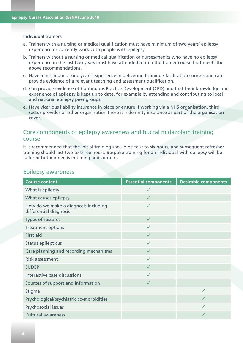#### **Individual trainers**

- a. Trainers with a nursing or medical qualification must have minimum of two years' epilepsy experience or currently work with people with epilepsy.
- b. Trainers without a nursing or medical qualification or nurses/medics who have no epilepsy experience in the last two years must have attended a train the trainer course that meets the above recommendations.
- c. Have a minimum of one year's experience in delivering training / facilitation courses and can provide evidence of a relevant teaching and assessment qualification.
- d. Can provide evidence of Continuous Practice Development (CPD) and that their knowledge and experience of epilepsy is kept up to date, for example by attending and contributing to local and national epilepsy peer groups.
- e. Have vicarious liability insurance in place or ensure if working via a NHS organisation, third sector provider or other organisation there is indemnity insurance as part of the organisation cover.

## Core components of epilepsy awareness and buccal midazolam training course

It is recommended that the initial training should be four to six hours, and subsequent refresher training should last two to three hours. Bespoke training for an individual with epilepsy will be tailored to their needs in timing and content.

| <b>Course content</b>                                          | <b>Essential components</b> | <b>Desirable components</b> |
|----------------------------------------------------------------|-----------------------------|-----------------------------|
| What is epilepsy                                               | $\checkmark$                |                             |
| What causes epilepsy                                           | $\checkmark$                |                             |
| How do we make a diagnosis including<br>differential diagnosis |                             |                             |
| Types of seizures                                              | $\checkmark$                |                             |
| <b>Treatment options</b>                                       | $\checkmark$                |                             |
| <b>First aid</b>                                               | $\checkmark$                |                             |
| Status epilepticus                                             | ✓                           |                             |
| Care planning and recording mechanisms                         | $\checkmark$                |                             |
| Risk assessment                                                |                             |                             |
| <b>SUDEP</b>                                                   | ✓                           |                             |
| Interactive case discussions                                   |                             |                             |
| Sources of support and information                             | J                           |                             |
| Stigma                                                         |                             | $\checkmark$                |
| Psychological/psychiatric co-morbidities                       |                             |                             |
| Psychosocial issues                                            |                             |                             |
| <b>Cultural awareness</b>                                      |                             |                             |

#### Epilepsy awareness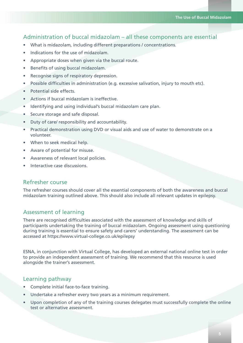### Administration of buccal midazolam – all these components are essential

- What is midazolam, including different preparations / concentrations.
- Indications for the use of midazolam.
- Appropriate doses when given via the buccal route.
- Benefits of using buccal midazolam.
- Recognise signs of respiratory depression.
- Possible difficulties in administration (e.g. excessive salivation, injury to mouth etc).
- Potential side effects.
- Actions if buccal midazolam is ineffective.
- Identifying and using individual's buccal midazolam care plan.
- Secure storage and safe disposal.
- Duty of care/ responsibility and accountability.
- Practical demonstration using DVD or visual aids and use of water to demonstrate on a volunteer.
- When to seek medical help.
- Aware of potential for misuse.
- Awareness of relevant local policies.
- Interactive case discussions.

### Refresher course

The refresher courses should cover all the essential components of both the awareness and buccal midazolam training outlined above. This should also include all relevant updates in epilepsy.

### Assessment of learning

There are recognised difficulties associated with the assessment of knowledge and skills of participants undertaking the training of buccal midazolam. Ongoing assessment using questioning during training is essential to ensure safety and carers' understanding. The assessment can be accessed at https://www.virtual-college.co.uk/epilepsy

ESNA, in conjunction with Virtual College, has developed an external national online test in order to provide an independent assessment of training. We recommend that this resource is used alongside the trainer's assessment.

### Learning pathway

- Complete initial face-to-face training.
- Undertake a refresher every two years as a minimum requirement.
- Upon completion of any of the training courses delegates must successfully complete the online test or alternative assessment.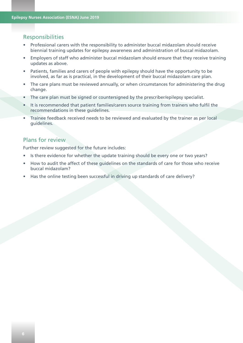### Responsibilities

- Professional carers with the responsibility to administer buccal midazolam should receive biennial training updates for epilepsy awareness and administration of buccal midazolam.
- Employers of staff who administer buccal midazolam should ensure that they receive training updates as above.
- Patients, families and carers of people with epilepsy should have the opportunity to be involved, as far as is practical, in the development of their buccal midazolam care plan.
- The care plans must be reviewed annually, or when circumstances for administering the drug change.
- The care plan must be signed or countersigned by the prescriber/epilepsy specialist.
- It is recommended that patient families/carers source training from trainers who fulfil the recommendations in these guidelines.
- Trainee feedback received needs to be reviewed and evaluated by the trainer as per local guidelines.

## Plans for review

Further review suggested for the future includes:

- Is there evidence for whether the update training should be every one or two years?
- How to audit the affect of these guidelines on the standards of care for those who receive buccal midazolam?
- Has the online testing been successful in driving up standards of care delivery?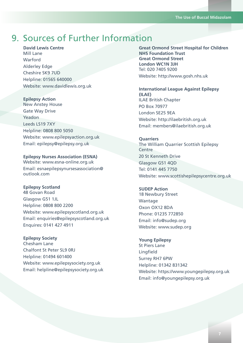## 9. Sources of Further Information

### **David Lewis Centre** Mill Lane **Warford** Alderley Edge Cheshire SK9 7UD Helpline: 01565 640000 Website: www.davidlewis.org.uk

### **Epilepsy Action** New Anstey House Gate Way Drive

Yeadon Leeds LS19 7XY Helpline: 0808 800 5050 Website: www.epilepsyaction.org.uk Email: epilepsy@epilepsy.org.uk

#### **Epilepsy Nurses Association (ESNA)**

Website: www.esna-online.org.uk Email: esnaepilepsynursesassociation@ outlook.com

#### **Epilepsy Scotland**

48 Govan Road Glasgow G51 1JL Helpline: 0808 800 2200 Website: www.epilepsyscotland.org.uk Email: enquiries@epilepsyscotland.org.uk Enquires: 0141 427 4911

#### **Epilepsy Society**

Chesham Lane Chalfont St Peter SL9 0RJ Helpline: 01494 601400 Website: www.epilepsysociety.org.uk Email: helpline@epilepsysociety.org.uk

**Great Ormond Street Hospital for Children NHS Foundation Trust Great Ormond Street London WC1N 3JH** Tel: 020 7405 9200 Website: http://www.gosh.nhs.uk

**International League Against Epilepsy (ILAE)** ILAE British Chapter PO Box 70977 London SE25 9EA Website: http://ilaebritish.org.uk Email: members@ilaebritish.org.uk

**Quarriers** The William Quarrier Scottish Epilepsy **Centre** 20 St Kenneth Drive Glasgow G51 4QD Tel: 0141 445 7750 Website: www.scottishepilepsycentre.org.uk

#### **SUDEP Action**

18 Newbury Street Wantage Oxon OX12 8DA Phone: 01235 772850 Email: info@sudep.org Website: www.sudep.org

**Young Epilepsy** St Piers Lane **Lingfield** Surrey RH7 6PW Helpline: 01342 831342 Website: https://www.youngepilepsy.org.uk Email: info@youngepilepsy.org.uk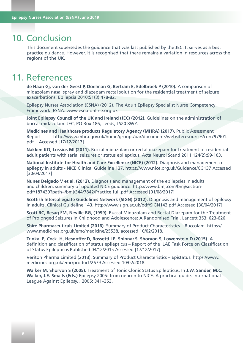## 10. Conclusion

This document supersedes the guidance that was last published by the JEC. It serves as a best practice guidance. However, it is recognised that there remains a variation in resources across the regions of the UK.

## 11. References

**de Haan Gj, van der Geest P, Doelman G, Bertram E, Edelbroek P (2010).** A comparison of midazolam nasal spray and diazepam rectal solution for the residential treatment of seizure exacerbations. Epilepsia 2010;51(3):478-82.

Epilepsy Nurses Association (ESNA) (2012). The Adult Epilepsy Specialist Nurse Competency Framework. ESNA. www.esna-online.org.uk

**Joint Epilepsy Council of the UK and Ireland (JEC) (2012).** Guidelines on the administration of buccal midazolam. JEC, PO Box 186, Leeds, LS20 8WY.

**Medicines and Healthcare products Regulatory Agency (MHRA) (2017).** Public Assessment Report http://www.mhra.gov.uk/home/groups/par/documents/websiteresources/con797901. pdf Accessed [17/12/2017]

**Nakken KO, Lossius MI (2011).** Buccal midazolam or rectal diazepam for treatment of residential adult patients with serial seizures or status epilepticus. Acta Neurol Scand 2011;124(2):99-103.

**National Institute for Health and Care Excellence (NICE) (2012).** Diagnosis and management of epilepsy in adults - NICE Clinical Guideline 137. https://www.nice.org.uk/Guidance/CG137 Accessed [30/04/2017]

**Nunes Delgado V et al. (2012).** Diagnosis and management of the epilepsies in adults and children: summary of updated NICE guidance. http://www.bmj.com/bmj/sectionpdf/187439?path=/bmj/344/7842/Practice.full.pdf Accessed [01/08/2017]

**Scottish Intercollegiate Guidelines Network (SIGN) (2012).** Diagnosis and management of epilepsy in adults. Clinical Guideline 143. http://www.sign.ac.uk/pdf/SIGN143.pdf Accessed [30/04/2017]

**Scott RC, Besag FM, Neville BG, (1999).** Buccal Midazolam and Rectal Diazepam for the Treatment of Prolonged Seizures in Childhood and Adolescence: A Randomised Trial. Lancett 353: 623-626.

**Shire Pharmaceuticals Limited (2016).** Summary of Product Characteristics – Buccolam. https:// www.medicines.org.uk/emc/medicine/25538, accessed 10/02/2018.

**Trinka. E, Cock. H, Hesdoffer.D, Rossetti.I.E, Shinnar.S, Shorvon.S, Lowenstein.D (2015).** A definition and classification of status epilepticus – Report of the ILAE Task Force on Classification of Status Epilepticus Published 04/12/2015 Accessed [17/12/2017]

Veriton Pharma Limited (2018). Summary of Product Characteristics – Epistatus. https://www. medicines.org.uk/emc/product/2679 Accessed 10/02/2018.

**Walker M, Shorvon S (2005).** Treatment of Tonic Clonic Status Epilepticus. In **J.W. Sander, M.C. Walker, J.E. Smalls (Eds.)** Epilepsy 2005: from neuron to NICE. A practical guide. International League Against Epilepsy, ; 2005: 341–353.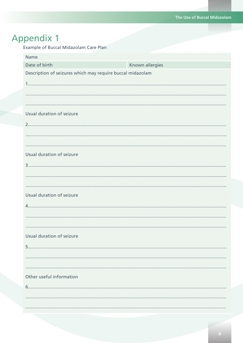# **Appendix 1**

Example of Buccal Midazolam Care Plan

| <b>Name</b>                                                |                 |  |
|------------------------------------------------------------|-----------------|--|
| Date of birth                                              | Known allergies |  |
| Description of seizures which may require buccal midazolam |                 |  |
|                                                            |                 |  |
|                                                            |                 |  |
| Usual duration of seizure                                  |                 |  |
|                                                            |                 |  |
|                                                            |                 |  |
|                                                            |                 |  |
| Usual duration of seizure                                  |                 |  |
|                                                            |                 |  |
|                                                            |                 |  |
|                                                            |                 |  |
| Usual duration of seizure                                  |                 |  |
|                                                            |                 |  |
|                                                            |                 |  |
|                                                            |                 |  |
| Usual duration of seizure                                  |                 |  |
|                                                            |                 |  |
|                                                            |                 |  |
|                                                            |                 |  |
| Other useful information                                   |                 |  |
|                                                            |                 |  |
|                                                            |                 |  |
|                                                            |                 |  |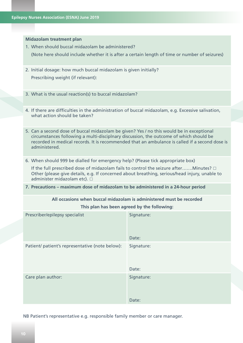#### **Midazolam treatment plan**

- 1. When should buccal midazolam be administered? (Note here should include whether it is after a certain length of time or number of seizures)
- 2. Initial dosage: how much buccal midazolam is given initially? Prescribing weight (if relevant):
- 3. What is the usual reaction(s) to buccal midazolam?
- 4. If there are difficulties in the administration of buccal midazolam, e.g. Excessive salivation, what action should be taken?
- 5. Can a second dose of buccal midazolam be given? Yes / no this would be in exceptional circumstances following a multi-disciplnary discussion, the outcome of which should be recorded in medical records. It is recommended that an ambulance is called if a second dose is administered.
- 6. When should 999 be dialled for emergency help? (Please tick appropriate box)

If the full prescribed dose of midazolam fails to control the seizure after…….Minutes? □ Other (please give details, e.g. If concerned about breathing, serious/head injury, unable to administer midazolam etc).  $\square$ 

**7. Precautions – maximum dose of midazolam to be administered in a 24-hour period**

### **All occasions when buccal midazolam is administered must be recorded This plan has been agreed by the following:**

| Prescriber/epilepsy specialist                  | Signature:<br>Date: |
|-------------------------------------------------|---------------------|
| Patient/ patient's representative (note below): | Signature:<br>Date: |
| Care plan author:                               | Signature:<br>Date: |

NB Patient's representative e.g. responsible family member or care manager.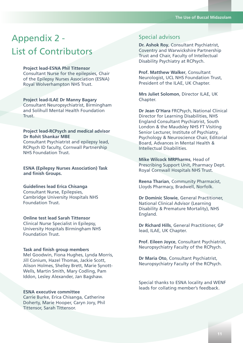# Appendix 2 - List of Contributors

#### **Project lead-ESNA Phil Tittensor**

Consultant Nurse for the epilepsies, Chair of the Epilepsy Nurses Association (ESNA) Royal Wolverhampton NHS Trust.

#### **Project lead-ILAE Dr Manny Bagary**

Consultant Neuropsychiatrist, Birmingham and Solihull Mental Health Foundation **Trust** 

#### **Project lead-RCPsych and medical advisor Dr Rohit Shankar MBE**

Consultant Psychiatrist and epilepsy lead, RCPsych ID faculty, Cornwall Partnership NHS Foundation Trust.

#### **ESNA (Epilepsy Nurses Association) Task and finish Groups.**

#### **Guidelines lead Erica Chisanga**

Consultant Nurse, Epilepsies, Cambridge University Hospitals NHS Foundation Trust.

#### **Online test lead Sarah Tittensor**

Clinical Nurse Specialist in Epilepsy, University Hospitals Birmingham NHS Foundation Trust.

#### **Task and finish group members**

Mel Goodwin, Fiona Hughes, Lynda Morris, Jill Conium, Hazel Thomas, Jackie Scott, Alison Holmes, Shelley Brett, Marie Synott-Wells, Martin Smith, Mary Codling, Pam Iddon, Lesley Alexander, Jan Bagshaw.

#### **ESNA executive committee**

Carrie Burke, Erica Chisanga, Catherine Doherty, Marie Hooper, Caryn Jory, Phil Tittensor, Sarah Tittensor.

### Special advisors

**Dr. Ashok Roy**, Consultant Psychiatrist, Coventry and Warwickshire Partnership Trust and Chair, Faculty of Intellectual Disability Psychiatry at RCPsych.

**Prof. Matthew Walker**, Consultant Neurologist, UCL NHS Foundation Trust, President of the ILAE, UK Chapter.

**Mrs Juliet Solomon**, Director ILAE, UK Chapter.

**Dr Jean O'Hara** FRCPsych, National Clinical Director for Learning Disabilities, NHS England Consultant Psychiatrist, South London & the Maudsley NHS FT Visiting Senior Lecturer, Institute of Psychiatry, Psychology & Neuroscience Chair, Editorial Board, Advances in Mental Health & Intellectual Disabilities.

**Mike Wilcock MRPharms**, Head of Prescribing Support Unit, Pharmacy Dept. Royal Cornwall Hospitals NHS Trust.

**Reena Tharian**, Community Pharmacist, Lloyds Pharmacy, Bradwell, Norfolk.

**Dr Dominic Slowie**, General Practitioner, National Clinical Advisor (Learning Disability & Premature Mortality), NHS England.

**Dr Richard Hills**, General Practitioner, GP lead, ILAE, UK Chapter.

**Prof. Eileen Joyce**, Consultant Psychiatrist, Neuropsychiatry Faculty of the RCPsych.

**Dr Maria Oto**, Consultant Psychiatrist, Neuropsychiatry Faculty of the RCPsych.

Special thanks to ESNA locality and WENF leads for collating member's feedback.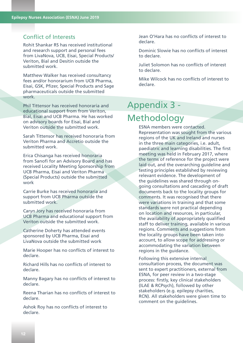### Conflict of Interests

Rohit Shankar RS has received institutional and research support and personal fees from LivaNova, UCB, Eisai, Special Products/ Veriton, Bial and Desitin outside the submitted work.

Matthew Walker has received consultancy fees and/or honorarium from UCB Pharma, Eisai, GSK, Pfizer, Special Products and Sage pharmaceuticals outside the submitted work.

Phil Tittensor has received honoraria and educational support from from Veriton, Bial, Eisai and UCB Pharma. He has worked on advisory boards for Eisai, Bial and Veriton outside the submitted work.

Sarah Tittensor has received honoraria from Veriton Pharma and Accretio outside the submitted work.

Erica Chisanga has received honoraria from Sanofi for an Advisory Board and has received Locality Meeting Sponsorship from UCB Pharma, Eisai and Veriton Pharma (Special Products) outside the submitted work

Carrie Burke has received honoraria and support from UCB Pharma outside the submitted work.

Caryn Jory has received honoraria from UCB Pharma and educational support from Veriton outside the submitted work.

Catherine Doherty has attended events sponsored by UCB Pharma, Eisai and LivaNova outside the submitted work

Marie Hooper has no conflicts of interest to declare.

Richard Hills has no conflicts of interest to declare.

Manny Bagary has no conflicts of interest to declare.

Reena Tharian has no conflicts of interest to declare.

Ashok Roy has no conflicts of interest to declare.

Jean O'Hara has no conflicts of interest to declare.

- Dominic Slowie has no conflicts of interest to declare.
- Juliet Solomon has no conflicts of interest to declare.
- Mike Wilcock has no conflicts of interest to declare.

# Appendix 3 - Methodology

ESNA members were contacted. Representation was sought from the various regions of the UK and Ireland and nurses in the three main categories, i.e. adult, paediatric and learning disabilities. The first meeting was held in February 2017, where the terms of reference for the project were laid out, and the overarching guideline and testing principles established by reviewing relevant evidence. The development of the guidelines was shared through ongoing consultations and cascading of draft documents back to the locality groups for comments. It was recognised that there were variations in training and that some standards were not practical depending on location and resources, in particular, the availability of appropriately qualified staff to deliver training, available in various regions. Comments and suggestions from the locality groups have been taken into account, to allow scope for addressing or accommodating the variation between regions in the guidance.

Following this extensive internal consultation process, the document was sent to expert practitioners, external from ESNA, for peer review in a two-stage process: firstly, key clinical stakeholders (ILAE & RCPsych), followed by other stakeholders (e.g. epilepsy charities, RCN). All stakeholders were given time to comment on the guidelines.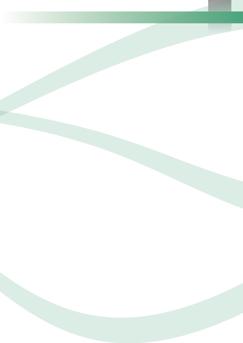